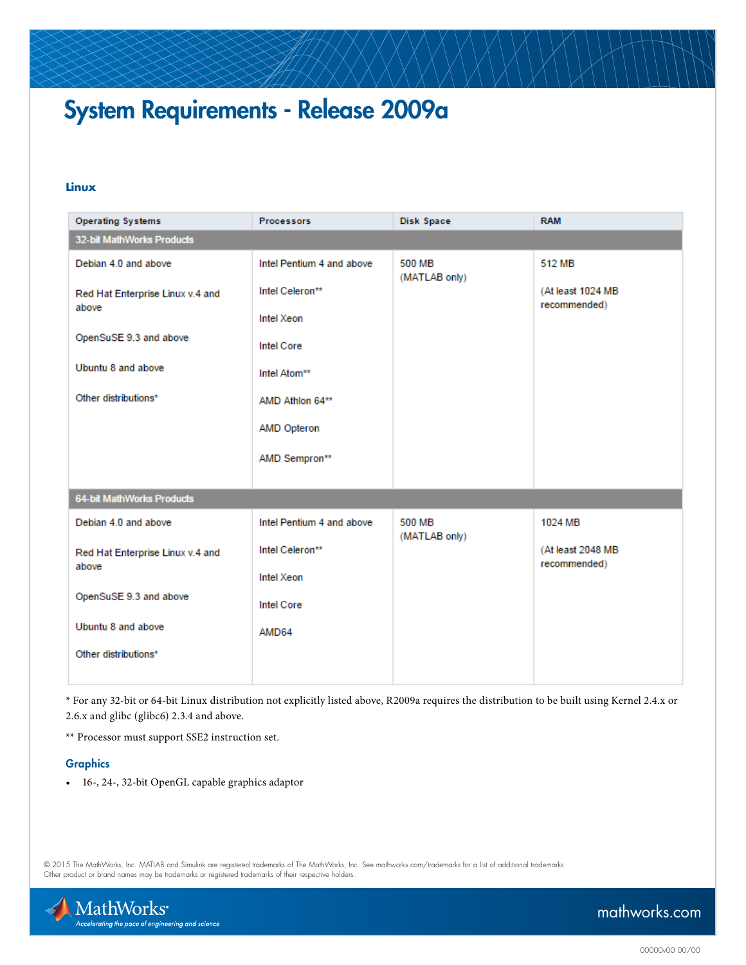# System Requirements - Release 2009a

### **Linux**

| 32-bit MathWorks Products<br><b>500 MB</b><br>Debian 4.0 and above<br>Intel Pentium 4 and above<br>512 MB<br>(MATLAB only)<br>Intel Celeron**<br>(At least 1024 MB<br>Red Hat Enterprise Linux v.4 and<br>recommended)<br>above<br>Intel Xeon | <b>Operating Systems</b> | <b>Processors</b> | Disk Space | <b>RAM</b> |
|-----------------------------------------------------------------------------------------------------------------------------------------------------------------------------------------------------------------------------------------------|--------------------------|-------------------|------------|------------|
|                                                                                                                                                                                                                                               |                          |                   |            |            |
|                                                                                                                                                                                                                                               |                          |                   |            |            |
|                                                                                                                                                                                                                                               |                          |                   |            |            |
|                                                                                                                                                                                                                                               |                          |                   |            |            |
| OpenSuSE 9.3 and above<br><b>Intel Core</b>                                                                                                                                                                                                   |                          |                   |            |            |
| Ubuntu 8 and above<br>Intel Atom**                                                                                                                                                                                                            |                          |                   |            |            |
| Other distributions*<br>AMD Athlon 64**                                                                                                                                                                                                       |                          |                   |            |            |
| AMD Opteron                                                                                                                                                                                                                                   |                          |                   |            |            |
| AMD Sempron**                                                                                                                                                                                                                                 |                          |                   |            |            |
| 64-bit MathWorks Products                                                                                                                                                                                                                     |                          |                   |            |            |
| Debian 4.0 and above<br>Intel Pentium 4 and above<br>500 MB<br>1024 MB                                                                                                                                                                        |                          |                   |            |            |
| (MATLAB only)                                                                                                                                                                                                                                 |                          |                   |            |            |
| Intel Celeron**<br>(At least 2048 MB<br>Red Hat Enterprise Linux v.4 and<br>recommended)                                                                                                                                                      | above                    |                   |            |            |
| Intel Xeon                                                                                                                                                                                                                                    |                          |                   |            |            |
| OpenSuSE 9.3 and above<br><b>Intel Core</b>                                                                                                                                                                                                   |                          |                   |            |            |
| Ubuntu 8 and above<br>AMD64                                                                                                                                                                                                                   |                          |                   |            |            |
| Other distributions*                                                                                                                                                                                                                          |                          |                   |            |            |

\* For any 32-bit or 64-bit Linux distribution not explicitly listed above, R2009a requires the distribution to be built using Kernel 2.4.x or 2.6.x and glibc (glibc6) 2.3.4 and above.

\*\* Processor must support SSE2 instruction set.

#### **Graphics**

• 16-, 24-, 32-bit OpenGL capable graphics adaptor

© 2015 The MathWorks, Inc. MATLAB and Simulink are registered trademarks of The MathWorks, Inc. See [mathworks.com/trademarks](http://www.mathworks.com/trademarks) for a list of additional trademarks.<br>Other product or brand names may be trademarks or registered



## [mathworks.com](http://www.mathworks.com)